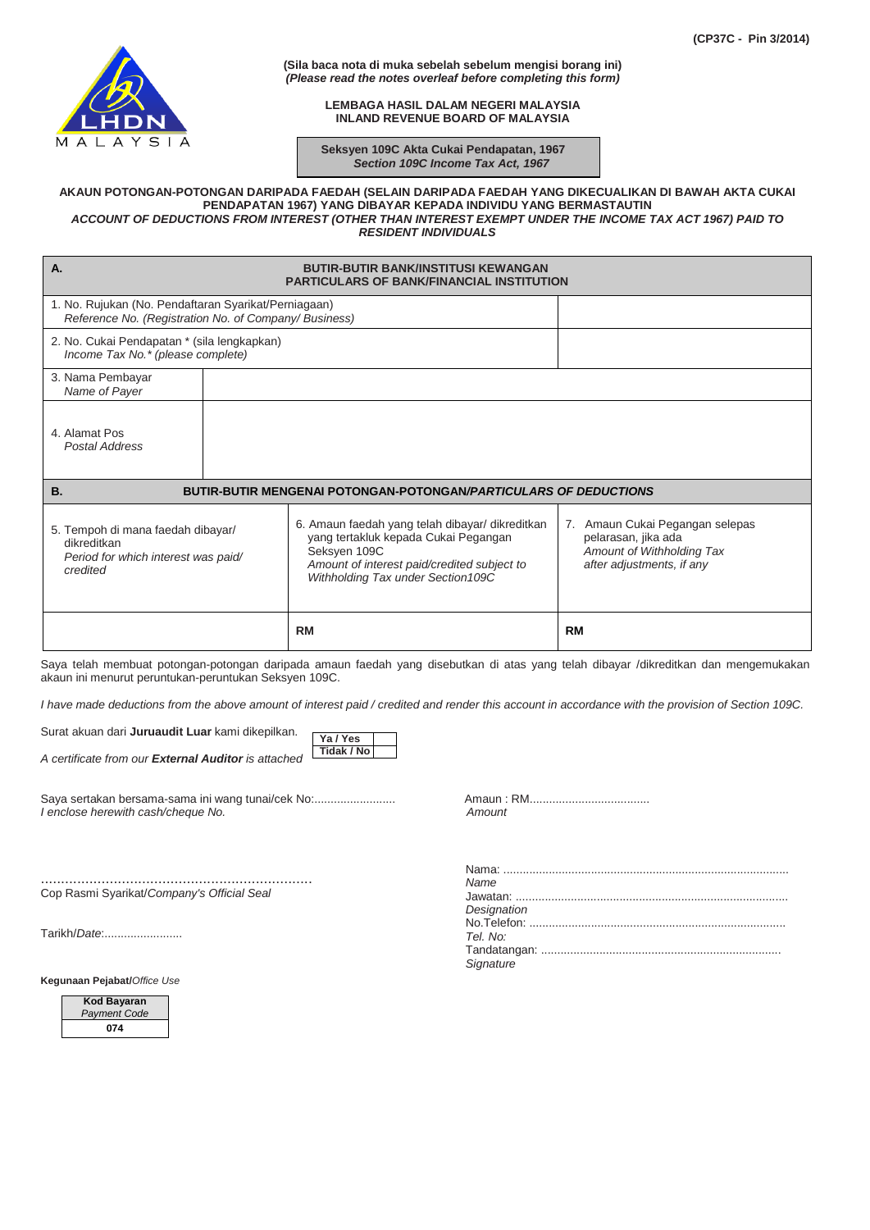

**(Sila baca nota di muka sebelah sebelum mengisi borang ini)** *(Please read the notes overleaf before completing this form)*

> **LEMBAGA HASIL DALAM NEGERI MALAYSIA INLAND REVENUE BOARD OF MALAYSIA**

 **Seksyen 109C Akta Cukai Pendapatan, 1967**  *Section 109C Income Tax Act, 1967*

## **AKAUN POTONGAN-POTONGAN DARIPADA FAEDAH (SELAIN DARIPADA FAEDAH YANG DIKECUALIKAN DI BAWAH AKTA CUKAI PENDAPATAN 1967) YANG DIBAYAR KEPADA INDIVIDU YANG BERMASTAUTIN** *ACCOUNT OF DEDUCTIONS FROM INTEREST (OTHER THAN INTEREST EXEMPT UNDER THE INCOME TAX ACT 1967) PAID TO RESIDENT INDIVIDUALS*

| <b>A.</b><br><b>BUTIR-BUTIR BANK/INSTITUSI KEWANGAN</b><br><b>PARTICULARS OF BANK/FINANCIAL INSTITUTION</b>   |  |                                                                                                                                                                                             |                                                                                                                  |  |  |
|---------------------------------------------------------------------------------------------------------------|--|---------------------------------------------------------------------------------------------------------------------------------------------------------------------------------------------|------------------------------------------------------------------------------------------------------------------|--|--|
| 1. No. Rujukan (No. Pendaftaran Syarikat/Perniagaan)<br>Reference No. (Registration No. of Company/ Business) |  |                                                                                                                                                                                             |                                                                                                                  |  |  |
| 2. No. Cukai Pendapatan * (sila lengkapkan)<br>Income Tax No.* (please complete)                              |  |                                                                                                                                                                                             |                                                                                                                  |  |  |
| 3. Nama Pembayar<br>Name of Payer                                                                             |  |                                                                                                                                                                                             |                                                                                                                  |  |  |
| 4. Alamat Pos<br>Postal Address                                                                               |  |                                                                                                                                                                                             |                                                                                                                  |  |  |
| <b>B.</b><br><b>BUTIR-BUTIR MENGENAI POTONGAN-POTONGAN/PARTICULARS OF DEDUCTIONS</b>                          |  |                                                                                                                                                                                             |                                                                                                                  |  |  |
| 5. Tempoh di mana faedah dibayar/<br>dikreditkan<br>Period for which interest was paid/<br>credited           |  | 6. Amaun faedah yang telah dibayar/ dikreditkan<br>yang tertakluk kepada Cukai Pegangan<br>Seksyen 109C<br>Amount of interest paid/credited subject to<br>Withholding Tax under Section109C | 7. Amaun Cukai Pegangan selepas<br>pelarasan, jika ada<br>Amount of Withholding Tax<br>after adjustments, if any |  |  |
|                                                                                                               |  | <b>RM</b>                                                                                                                                                                                   | <b>RM</b>                                                                                                        |  |  |

Saya telah membuat potongan-potongan daripada amaun faedah yang disebutkan di atas yang telah dibayar /dikreditkan dan mengemukakan akaun ini menurut peruntukan-peruntukan Seksyen 109C.

*I have made deductions from the above amount of interest paid / credited and render this account in accordance with the provision of Section 109C.*

**Ya / Yes Tidak / No**

Surat akuan dari **Juruaudit Luar** kami dikepilkan.

*A certificate from our External Auditor is attached*

Saya sertakan bersama-sama ini wang tunai/cek No:......................... Amaun : RM..................................... *I* enclose herewith cash/cheque No.

................................................................... Cop Rasmi Syarikat/*Company's Official Seal*

Tarikh/*Date*:........................

**Kegunaan Pejabat/***Office Use*



| Name        |  |
|-------------|--|
|             |  |
| Designation |  |
|             |  |
| Tel. No:    |  |
|             |  |
| Signature   |  |